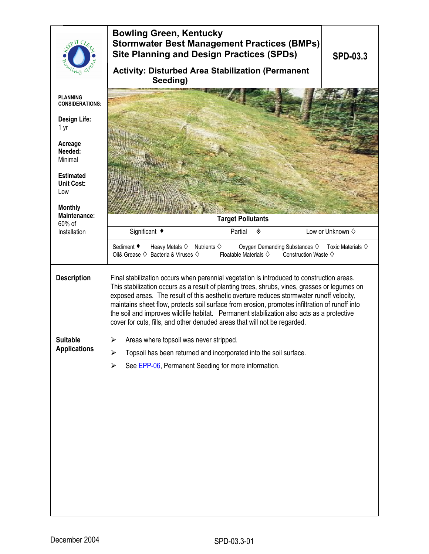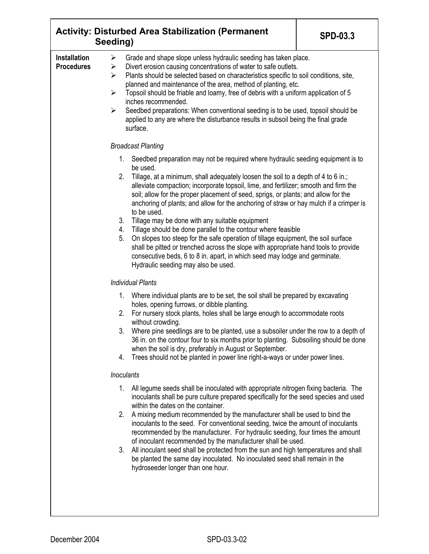|                                          | <b>Activity: Disturbed Area Stabilization (Permanent</b><br><b>SPD-03.3</b><br>Seeding)                                                                                                                                                                                                                                                                                                                                                                                                                                                                                                                                                                                                                                                                                                                                                                                                                                                                                                                                                                                                              |  |  |  |  |
|------------------------------------------|------------------------------------------------------------------------------------------------------------------------------------------------------------------------------------------------------------------------------------------------------------------------------------------------------------------------------------------------------------------------------------------------------------------------------------------------------------------------------------------------------------------------------------------------------------------------------------------------------------------------------------------------------------------------------------------------------------------------------------------------------------------------------------------------------------------------------------------------------------------------------------------------------------------------------------------------------------------------------------------------------------------------------------------------------------------------------------------------------|--|--|--|--|
| <b>Installation</b><br><b>Procedures</b> | Grade and shape slope unless hydraulic seeding has taken place.<br>➤<br>Divert erosion causing concentrations of water to safe outlets.<br>➤<br>Plants should be selected based on characteristics specific to soil conditions, site,<br>⋗<br>planned and maintenance of the area, method of planting, etc.<br>$\blacktriangleright$<br>Topsoil should be friable and loamy, free of debris with a uniform application of 5<br>inches recommended.<br>$\blacktriangleright$<br>Seedbed preparations: When conventional seeding is to be used, topsoil should be<br>applied to any are where the disturbance results in subsoil being the final grade<br>surface.                                                                                                                                                                                                                                                                                                                                                                                                                                     |  |  |  |  |
|                                          | <b>Broadcast Planting</b>                                                                                                                                                                                                                                                                                                                                                                                                                                                                                                                                                                                                                                                                                                                                                                                                                                                                                                                                                                                                                                                                            |  |  |  |  |
|                                          | $1_{\cdot}$<br>Seedbed preparation may not be required where hydraulic seeding equipment is to<br>be used.<br>2.<br>Tillage, at a minimum, shall adequately loosen the soil to a depth of 4 to 6 in.;<br>alleviate compaction; incorporate topsoil, lime, and fertilizer; smooth and firm the<br>soil; allow for the proper placement of seed, sprigs, or plants; and allow for the<br>anchoring of plants; and allow for the anchoring of straw or hay mulch if a crimper is<br>to be used.<br>3.<br>Tillage may be done with any suitable equipment<br>Tillage should be done parallel to the contour where feasible<br>4.<br>5.<br>On slopes too steep for the safe operation of tillage equipment, the soil surface<br>shall be pitted or trenched across the slope with appropriate hand tools to provide<br>consecutive beds, 6 to 8 in. apart, in which seed may lodge and germinate.<br>Hydraulic seeding may also be used.<br><b>Individual Plants</b><br>1. Where individual plants are to be set, the soil shall be prepared by excavating<br>holes, opening furrows, or dibble planting. |  |  |  |  |
|                                          | For nursery stock plants, holes shall be large enough to accommodate roots<br>2.                                                                                                                                                                                                                                                                                                                                                                                                                                                                                                                                                                                                                                                                                                                                                                                                                                                                                                                                                                                                                     |  |  |  |  |
|                                          | without crowding.<br>Where pine seedlings are to be planted, use a subsoiler under the row to a depth of<br>3.<br>36 in. on the contour four to six months prior to planting. Subsoiling should be done<br>when the soil is dry, preferably in August or September.<br>Trees should not be planted in power line right-a-ways or under power lines.<br>4.                                                                                                                                                                                                                                                                                                                                                                                                                                                                                                                                                                                                                                                                                                                                            |  |  |  |  |
|                                          | <b>Inoculants</b>                                                                                                                                                                                                                                                                                                                                                                                                                                                                                                                                                                                                                                                                                                                                                                                                                                                                                                                                                                                                                                                                                    |  |  |  |  |
|                                          | 1.<br>All legume seeds shall be inoculated with appropriate nitrogen fixing bacteria. The<br>inoculants shall be pure culture prepared specifically for the seed species and used<br>within the dates on the container.                                                                                                                                                                                                                                                                                                                                                                                                                                                                                                                                                                                                                                                                                                                                                                                                                                                                              |  |  |  |  |
|                                          | A mixing medium recommended by the manufacturer shall be used to bind the<br>2.<br>inoculants to the seed. For conventional seeding, twice the amount of inoculants<br>recommended by the manufacturer. For hydraulic seeding, four times the amount<br>of inoculant recommended by the manufacturer shall be used.<br>All inoculant seed shall be protected from the sun and high temperatures and shall<br>3.<br>be planted the same day inoculated. No inoculated seed shall remain in the<br>hydroseeder longer than one hour.                                                                                                                                                                                                                                                                                                                                                                                                                                                                                                                                                                   |  |  |  |  |
|                                          |                                                                                                                                                                                                                                                                                                                                                                                                                                                                                                                                                                                                                                                                                                                                                                                                                                                                                                                                                                                                                                                                                                      |  |  |  |  |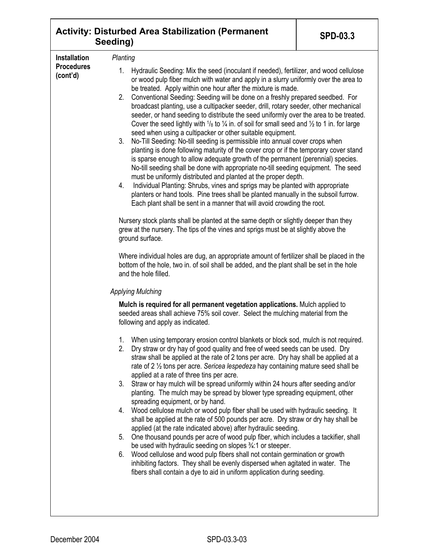|                                                      | <b>SPD-03.3</b>                                                                                                                                                                                                                                                                                                                                                                                                                                                                                                                                                                                                                                                                                                                                                                                                                                                                                                                                                                                                                                                                                                                                                                                                                                                                                                                                                                                                                                                                                                                                                                                                                                                                                                                                                                                                                                                                                                                                                                                                                                                                                                                                                                                                                                                                                                                                                                                                                                                                                                                                                                                                                                                                                                                                                                                                                                                                                                                                                                                                                                                                                                                 |  |  |  |  |
|------------------------------------------------------|---------------------------------------------------------------------------------------------------------------------------------------------------------------------------------------------------------------------------------------------------------------------------------------------------------------------------------------------------------------------------------------------------------------------------------------------------------------------------------------------------------------------------------------------------------------------------------------------------------------------------------------------------------------------------------------------------------------------------------------------------------------------------------------------------------------------------------------------------------------------------------------------------------------------------------------------------------------------------------------------------------------------------------------------------------------------------------------------------------------------------------------------------------------------------------------------------------------------------------------------------------------------------------------------------------------------------------------------------------------------------------------------------------------------------------------------------------------------------------------------------------------------------------------------------------------------------------------------------------------------------------------------------------------------------------------------------------------------------------------------------------------------------------------------------------------------------------------------------------------------------------------------------------------------------------------------------------------------------------------------------------------------------------------------------------------------------------------------------------------------------------------------------------------------------------------------------------------------------------------------------------------------------------------------------------------------------------------------------------------------------------------------------------------------------------------------------------------------------------------------------------------------------------------------------------------------------------------------------------------------------------------------------------------------------------------------------------------------------------------------------------------------------------------------------------------------------------------------------------------------------------------------------------------------------------------------------------------------------------------------------------------------------------------------------------------------------------------------------------------------------------|--|--|--|--|
| <b>Installation</b><br><b>Procedures</b><br>(cont'd) | <b>Activity: Disturbed Area Stabilization (Permanent</b><br>Seeding)<br>Planting<br>1. Hydraulic Seeding: Mix the seed (inoculant if needed), fertilizer, and wood cellulose<br>or wood pulp fiber mulch with water and apply in a slurry uniformly over the area to<br>be treated. Apply within one hour after the mixture is made.<br>Conventional Seeding: Seeding will be done on a freshly prepared seedbed. For<br>2.<br>broadcast planting, use a cultipacker seeder, drill, rotary seeder, other mechanical<br>seeder, or hand seeding to distribute the seed uniformly over the area to be treated.<br>Cover the seed lightly with $\frac{1}{8}$ to $\frac{1}{4}$ in. of soil for small seed and $\frac{1}{2}$ to 1 in. for large<br>seed when using a cultipacker or other suitable equipment.<br>3.<br>No-Till Seeding: No-till seeding is permissible into annual cover crops when<br>planting is done following maturity of the cover crop or if the temporary cover stand<br>is sparse enough to allow adequate growth of the permanent (perennial) species.<br>No-till seeding shall be done with appropriate no-till seeding equipment. The seed<br>must be uniformly distributed and planted at the proper depth.<br>Individual Planting: Shrubs, vines and sprigs may be planted with appropriate<br>4.<br>planters or hand tools. Pine trees shall be planted manually in the subsoil furrow.<br>Each plant shall be sent in a manner that will avoid crowding the root.<br>Nursery stock plants shall be planted at the same depth or slightly deeper than they<br>grew at the nursery. The tips of the vines and sprigs must be at slightly above the<br>ground surface.<br>Where individual holes are dug, an appropriate amount of fertilizer shall be placed in the<br>bottom of the hole, two in. of soil shall be added, and the plant shall be set in the hole<br>and the hole filled.<br><b>Applying Mulching</b><br>Mulch is required for all permanent vegetation applications. Mulch applied to<br>seeded areas shall achieve 75% soil cover. Select the mulching material from the<br>following and apply as indicated.<br>When using temporary erosion control blankets or block sod, mulch is not required.<br>1.<br>2.<br>Dry straw or dry hay of good quality and free of weed seeds can be used. Dry<br>straw shall be applied at the rate of 2 tons per acre. Dry hay shall be applied at a<br>rate of 2 1/2 tons per acre. Sericea lespedeza hay containing mature seed shall be<br>applied at a rate of three tins per acre.<br>Straw or hay mulch will be spread uniformly within 24 hours after seeding and/or<br>3.<br>planting. The mulch may be spread by blower type spreading equipment, other<br>spreading equipment, or by hand.<br>Wood cellulose mulch or wood pulp fiber shall be used with hydraulic seeding. It<br>4.<br>shall be applied at the rate of 500 pounds per acre. Dry straw or dry hay shall be<br>applied (at the rate indicated above) after hydraulic seeding.<br>One thousand pounds per acre of wood pulp fiber, which includes a tackifier, shall<br>5. |  |  |  |  |
|                                                      | be used with hydraulic seeding on slopes 3/4:1 or steeper.<br>Wood cellulose and wood pulp fibers shall not contain germination or growth<br>6.<br>inhibiting factors. They shall be evenly dispersed when agitated in water. The<br>fibers shall contain a dye to aid in uniform application during seeding.                                                                                                                                                                                                                                                                                                                                                                                                                                                                                                                                                                                                                                                                                                                                                                                                                                                                                                                                                                                                                                                                                                                                                                                                                                                                                                                                                                                                                                                                                                                                                                                                                                                                                                                                                                                                                                                                                                                                                                                                                                                                                                                                                                                                                                                                                                                                                                                                                                                                                                                                                                                                                                                                                                                                                                                                                   |  |  |  |  |